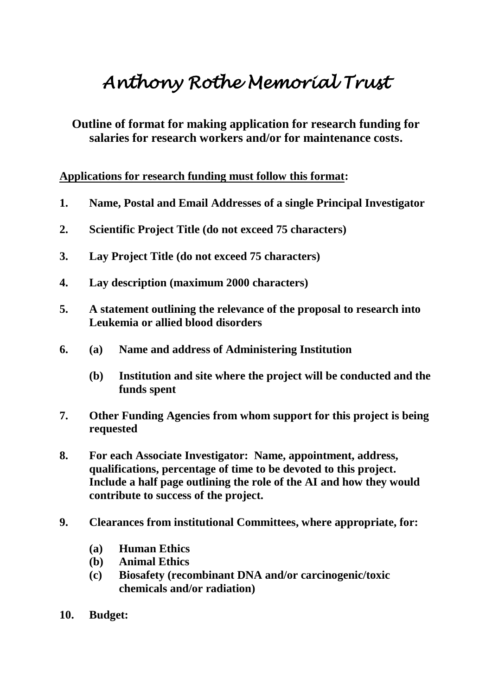## *Anthony Rothe Memorial Trust*

**Outline of format for making application for research funding for salaries for research workers and/or for maintenance costs.**

**Applications for research funding must follow this format:**

- **1. Name, Postal and Email Addresses of a single Principal Investigator**
- **2. Scientific Project Title (do not exceed 75 characters)**
- **3. Lay Project Title (do not exceed 75 characters)**
- **4. Lay description (maximum 2000 characters)**
- **5. A statement outlining the relevance of the proposal to research into Leukemia or allied blood disorders**
- **6. (a) Name and address of Administering Institution**
	- **(b) Institution and site where the project will be conducted and the funds spent**
- **7. Other Funding Agencies from whom support for this project is being requested**
- **8. For each Associate Investigator: Name, appointment, address, qualifications, percentage of time to be devoted to this project. Include a half page outlining the role of the AI and how they would contribute to success of the project.**
- **9. Clearances from institutional Committees, where appropriate, for:**
	- **(a) Human Ethics**
	- **(b) Animal Ethics**
	- **(c) Biosafety (recombinant DNA and/or carcinogenic/toxic chemicals and/or radiation)**
- **10. Budget:**